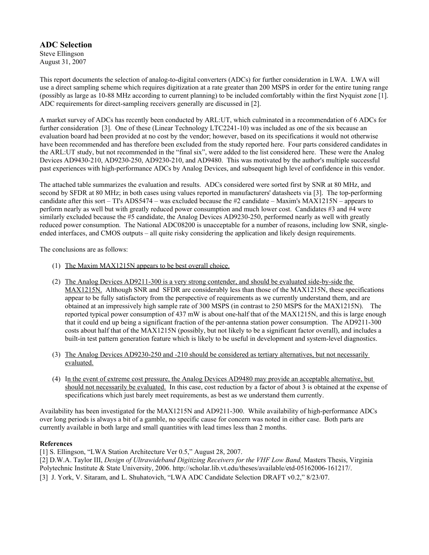**ADC Selection** Steve Ellingson August 31, 2007

This report documents the selection of analog-to-digital converters (ADCs) for further consideration in LWA. LWA will use a direct sampling scheme which requires digitization at a rate greater than 200 MSPS in order for the entire tuning range (possibly as large as 10-88 MHz according to current planning) to be included comfortably within the first Nyquist zone [1]. ADC requirements for direct-sampling receivers generally are discussed in [2].

A market survey of ADCs has recently been conducted by ARL:UT, which culminated in a recommendation of 6 ADCs for further consideration [3]. One of these (Linear Technology LTC2241-10) was included as one of the six because an evaluation board had been provided at no cost by the vendor; however, based on its specifications it would not otherwise have been recommended and has therefore been excluded from the study reported here. Four parts considered candidates in the ARL:UT study, but not recommended in the "final six", were added to the list considered here. These were the Analog Devices AD9430-210, AD9230-250, AD9230-210, and AD9480. This was motivated by the author's multiple successful past experiences with high-performance ADCs by Analog Devices, and subsequent high level of confidence in this vendor.

The attached table summarizes the evaluation and results. ADCs considered were sorted first by SNR at 80 MHz, and second by SFDR at 80 MHz; in both cases using values reported in manufacturers' datasheets via [3]. The top-performing candidate after this sort – TI's ADS5474 – was excluded because the #2 candidate – Maxim's MAX1215N – appears to perform nearly as well but with greatly reduced power consumption and much lower cost. Candidates #3 and #4 were similarly excluded because the #5 candidate, the Analog Devices AD9230-250, performed nearly as well with greatly reduced power consumption. The National ADC08200 is unacceptable for a number of reasons, including low SNR, singleended interfaces, and CMOS outputs – all quite risky considering the application and likely design requirements.

The conclusions are as follows:

- (1) The Maxim  $MAX1215N$  appears to be best overall choice.
- (2) T he Analog Devices AD9211-300 is a very strong contender, and should be evaluated side-by-side the MAX1215N. Although SNR and SFDR are considerably less than those of the MAX1215N, these specifications appear to be fully satisfactory from the perspective of requirements as we currently understand them, and are obtained at an impressively high sample rate of 300 MSPS (in contrast to 250 MSPS for the MAX1215N). The reported typical power consumption of 437 mW is about one-half that of the MAX1215N, and this is large enough that it could end up being a significant fraction of the per-antenna station power consumption. The AD9211-300 costs about half that of the MAX1215N (possibly, but not likely to be a significant factor overall), and includes a built-in test pattern generation feature which is likely to be useful in development and system-level diagnostics.
- (3) The Analog Devices AD9230-250 and -210 should be considered as tertiary alternatives, but not necessarily evaluated.
- (4) In the event of extreme cost pressure, the Analog Devices AD9480 may provide an acceptable alternative, but should not necessarily be evaluated. In this case, cost reduction by a factor of about 3 is obtained at the expense of specifications which just barely meet requirements, as best as we understand them currently.

Availability has been investigated for the MAX1215N and AD9211-300. While availability of high-performance ADCs over long periods is always a bit of a gamble, no specific cause for concern was noted in either case. Both parts are currently available in both large and small quantities with lead times less than 2 months.

## **References**

[1] S. Ellingson, "LWA Station Architecture Ver 0.5," August 28, 2007.

[2] D.W.A. Taylor III, *Design of Ultrawideband Digitizing Receivers for the VHF Low Band,* Masters Thesis, Virginia

Polytechnic Institute & State University, 2006. http://scholar.lib.vt.edu/theses/available/etd-05162006-161217/.

[3] J. York, V. Sitaram, and L. Shuhatovich, "LWA ADC Candidate Selection DRAFT v0.2," 8/23/07.